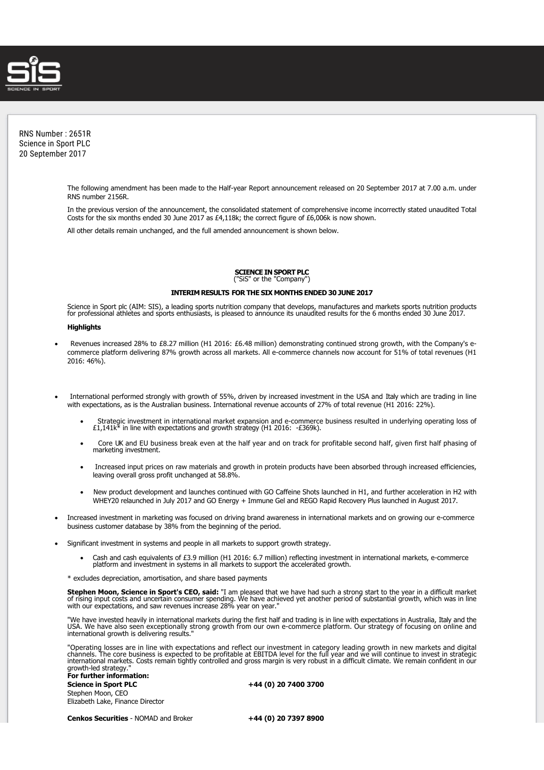

RNS Number : 2651R Science in Sport PLC 20 September 2017

> The following amendment has been made to the Half-year Report announcement released on 20 September 2017 at 7.00 a.m. under RNS number 2156R.

> In the previous version of the announcement, the consolidated statement of comprehensive income incorrectly stated unaudited Total Costs for the six months ended 30 June 2017 as £4,118k; the correct figure of £6,006k is now shown.

All other details remain unchanged, and the full amended announcement is shown below.

## **SCIENCE IN SPORT PLC** ("SiS" or the "Company")

## **INTERIM RESULTS FOR THE SIX MONTHS ENDED 30 JUNE 2017**

Science in Sport plc (AIM: SIS), a leading sports nutrition company that develops, manufactures and markets sports nutrition products<br>for professional athletes and sports enthusiasts, is pleased to announce its unaudited r

## **Highlights**

- Revenues increased 28% to £8.27 million (H1 2016: £6.48 million) demonstrating continued strong growth, with the Company's ecommerce platform delivering 87% growth across all markets. All e-commerce channels now account for 51% of total revenues (H1 2016: 46%).
- · International performed strongly with growth of 55%, driven by increased investment in the USA and Italy which are trading in line with expectations, as is the Australian business. International revenue accounts of 27% of total revenue (H1 2016: 22%).
	- · Strategic investment in international market expansion and e-commerce business resulted in underlying operating loss of £1,141k\* in line with expectations and growth strategy (H1 2016: -£369k).
	- Core UK and EU business break even at the half year and on track for profitable second half, given first half phasing of marketing investment.
	- · Increased input prices on raw materials and growth in protein products have been absorbed through increased efficiencies, leaving overall gross profit unchanged at 58.8%.
	- · New product development and launches continued with GO Caffeine Shots launched in H1, and further acceleration in H2 with WHEY20 relaunched in July 2017 and GO Energy + Immune Gel and REGO Rapid Recovery Plus launched in August 2017.
- · Increased investment in marketing was focused on driving brand awareness in international markets and on growing our e-commerce business customer database by 38% from the beginning of the period.
- · Significant investment in systems and people in all markets to support growth strategy.
	- Cash and cash equivalents of £3.9 million (H1 2016: 6.7 million) reflecting investment in international markets, e-commerce platform and investment in systems in all markets to support the accelerated growth.

\* excludes depreciation, amortisation, and share based payments

**Stephen Moon, Science in Sport's CEO, said:** "I am pleased that we have had such a strong start to the year in a difficult market<br>of rising input costs and uncertain consumer spending. We have achieved yet another period

"We have invested heavily in international markets during the first half and trading is in line with expectations in Australia, Italy and the<br>USA. We have also seen exceptionally strong growth from our own e-commerce platf

"Operating losses are in line with expectations and reflect our investment in category leading growth in new markets and digital<br>channels. The core business is expected to be profitable at EBITDA level for the full year an international markets. Costs remain tightly controlled and gross margin is very robust in a difficult climate. We remain confident in our growth-led strategy."

**For further information: Science in Sport PLC +44 (0) 20 7400 3700** Stephen Moon, CEO Elizabeth Lake, Finance Director

**Cenkos Securities** - NOMAD and Broker **+44 (0) 20 7397 8900**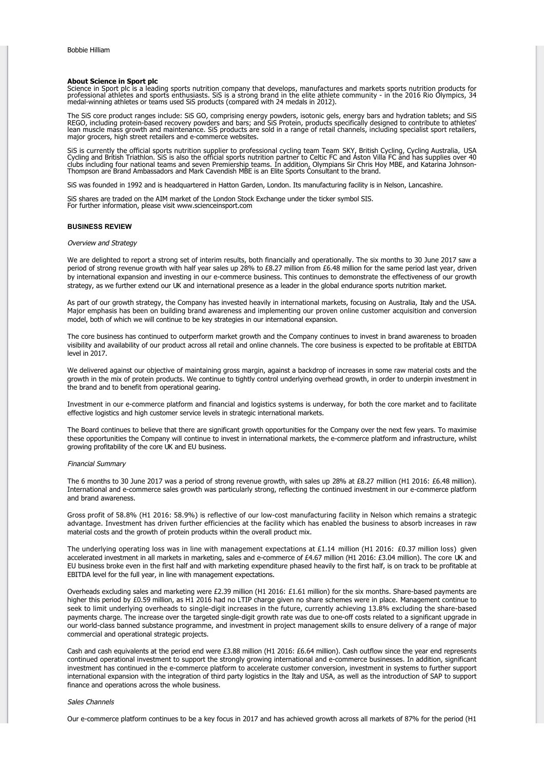## **About Science in Sport plc**

Science in Sport plc is a leading sports nutrition company that develops, manufactures and markets sports nutrition products for<br>professional athletes and sports enthusiasts. SiS is a strong brand in the elite athlete comm

The SiS core product ranges include: SiS GO, comprising energy powders, isotonic gels, energy bars and hydration tablets; and SiS<br>REGO, including protein-based recovery powders and bars; and SiS Protein, products specifica

SiS is currently the official sports nutrition supplier to professional cycling team Team SKY, British Cycling, Cycling Australia, USA<br>Cycling and British Triathlon. SiS is also the official sports nutrition partner to Cel

SiS was founded in 1992 and is headquartered in Hatton Garden, London. Its manufacturing facility is in Nelson, Lancashire.

SiS shares are traded on the AIM market of the London Stock Exchange under the ticker symbol SIS. For further information, please visit www.scienceinsport.com

## **BUSINESS REVIEW**

## Overview and Strategy

We are delighted to report a strong set of interim results, both financially and operationally. The six months to 30 June 2017 saw a period of strong revenue growth with half year sales up 28% to £8.27 million from £6.48 million for the same period last year, driven by international expansion and investing in our e-commerce business. This continues to demonstrate the effectiveness of our growth strategy, as we further extend our UK and international presence as a leader in the global endurance sports nutrition market.

As part of our growth strategy, the Company has invested heavily in international markets, focusing on Australia, Italy and the USA. Major emphasis has been on building brand awareness and implementing our proven online customer acquisition and conversion model, both of which we will continue to be key strategies in our international expansion.

The core business has continued to outperform market growth and the Company continues to invest in brand awareness to broaden visibility and availability of our product across all retail and online channels. The core business is expected to be profitable at EBITDA level in 2017.

We delivered against our objective of maintaining gross margin, against a backdrop of increases in some raw material costs and the growth in the mix of protein products. We continue to tightly control underlying overhead growth, in order to underpin investment in the brand and to benefit from operational gearing.

Investment in our e-commerce platform and financial and logistics systems is underway, for both the core market and to facilitate effective logistics and high customer service levels in strategic international markets.

The Board continues to believe that there are significant growth opportunities for the Company over the next few years. To maximise these opportunities the Company will continue to invest in international markets, the e-commerce platform and infrastructure, whilst growing profitability of the core UK and EU business.

## Financial Summary

The 6 months to 30 June 2017 was a period of strong revenue growth, with sales up 28% at £8.27 million (H1 2016: £6.48 million). International and e-commerce sales growth was particularly strong, reflecting the continued investment in our e-commerce platform and brand awareness.

Gross profit of 58.8% (H1 2016: 58.9%) is reflective of our low-cost manufacturing facility in Nelson which remains a strategic advantage. Investment has driven further efficiencies at the facility which has enabled the business to absorb increases in raw material costs and the growth of protein products within the overall product mix.

The underlying operating loss was in line with management expectations at £1.14 million (H1 2016: £0.37 million loss) given accelerated investment in all markets in marketing, sales and e-commerce of £4.67 million (H1 2016: £3.04 million). The core UK and EU business broke even in the first half and with marketing expenditure phased heavily to the first half, is on track to be profitable at EBITDA level for the full year, in line with management expectations.

Overheads excluding sales and marketing were £2.39 million (H1 2016: £1.61 million) for the six months. Share-based payments are higher this period by £0.59 million, as H1 2016 had no LTIP charge given no share schemes were in place. Management continue to seek to limit underlying overheads to single-digit increases in the future, currently achieving 13.8% excluding the share-based payments charge. The increase over the targeted single-digit growth rate was due to one-off costs related to a significant upgrade in our world-class banned substance programme, and investment in project management skills to ensure delivery of a range of major commercial and operational strategic projects.

Cash and cash equivalents at the period end were £3.88 million (H1 2016: £6.64 million). Cash outflow since the year end represents continued operational investment to support the strongly growing international and e-commerce businesses. In addition, significant investment has continued in the e-commerce platform to accelerate customer conversion, investment in systems to further support international expansion with the integration of third party logistics in the Italy and USA, as well as the introduction of SAP to support finance and operations across the whole business.

#### Sales Channels

Our e-commerce platform continues to be a key focus in 2017 and has achieved growth across all markets of 87% for the period (H1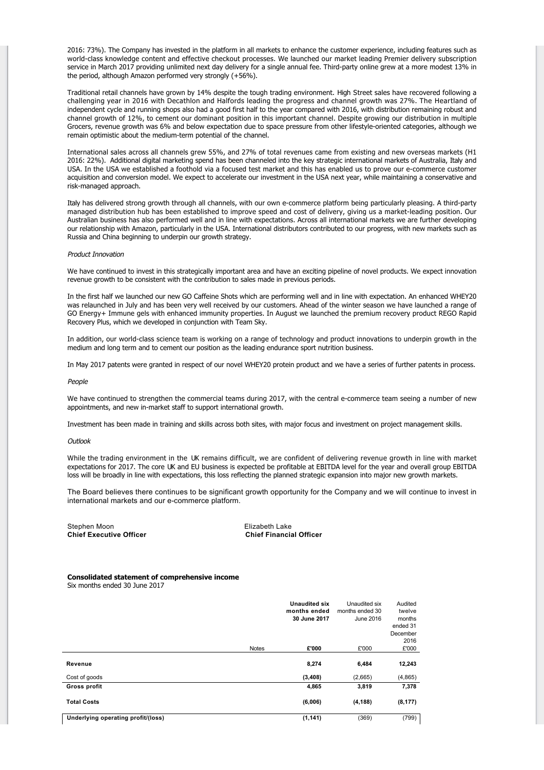2016: 73%). The Company has invested in the platform in all markets to enhance the customer experience, including features such as world-class knowledge content and effective checkout processes. We launched our market leading Premier delivery subscription service in March 2017 providing unlimited next day delivery for a single annual fee. Third-party online grew at a more modest 13% in the period, although Amazon performed very strongly (+56%).

Traditional retail channels have grown by 14% despite the tough trading environment. High Street sales have recovered following a challenging year in 2016 with Decathlon and Halfords leading the progress and channel growth was 27%. The Heartland of independent cycle and running shops also had a good first half to the year compared with 2016, with distribution remaining robust and channel growth of 12%, to cement our dominant position in this important channel. Despite growing our distribution in multiple Grocers, revenue growth was 6% and below expectation due to space pressure from other lifestyle-oriented categories, although we remain optimistic about the medium-term potential of the channel.

International sales across all channels grew 55%, and 27% of total revenues came from existing and new overseas markets (H1 2016: 22%). Additional digital marketing spend has been channeled into the key strategic international markets of Australia, Italy and USA. In the USA we established a foothold via a focused test market and this has enabled us to prove our e-commerce customer acquisition and conversion model. We expect to accelerate our investment in the USA next year, while maintaining a conservative and risk-managed approach.

Italy has delivered strong growth through all channels, with our own e-commerce platform being particularly pleasing. A third-party managed distribution hub has been established to improve speed and cost of delivery, giving us a market-leading position. Our Australian business has also performed well and in line with expectations. Across all international markets we are further developing our relationship with Amazon, particularly in the USA. International distributors contributed to our progress, with new markets such as Russia and China beginning to underpin our growth strategy.

# Product Innovation

We have continued to invest in this strategically important area and have an exciting pipeline of novel products. We expect innovation revenue growth to be consistent with the contribution to sales made in previous periods.

In the first half we launched our new GO Caffeine Shots which are performing well and in line with expectation. An enhanced WHEY20 was relaunched in July and has been very well received by our customers. Ahead of the winter season we have launched a range of GO Energy+ Immune gels with enhanced immunity properties. In August we launched the premium recovery product REGO Rapid Recovery Plus, which we developed in conjunction with Team Sky.

In addition, our world-class science team is working on a range of technology and product innovations to underpin growth in the medium and long term and to cement our position as the leading endurance sport nutrition business.

In May 2017 patents were granted in respect of our novel WHEY20 protein product and we have a series of further patents in process.

#### People

We have continued to strengthen the commercial teams during 2017, with the central e-commerce team seeing a number of new appointments, and new in-market staff to support international growth.

Investment has been made in training and skills across both sites, with major focus and investment on project management skills.

## **Outlook**

While the trading environment in the UK remains difficult, we are confident of delivering revenue growth in line with market expectations for 2017. The core UK and EU business is expected be profitable at EBITDA level for the year and overall group EBITDA loss will be broadly in line with expectations, this loss reflecting the planned strategic expansion into major new growth markets.

The Board believes there continues to be significant growth opportunity for the Company and we will continue to invest in international markets and our e-commerce platform.

Stephen Moon<br>
Chief Executive Officer<br>
Chief Executive Officer

**Chief Financial Officer** 

# **Consolidated statement of comprehensive income**

Six months ended 30 June 2017

|                                    |              | <b>Unaudited six</b><br>months ended | Unaudited six<br>months ended 30 | Audited<br>twelve |
|------------------------------------|--------------|--------------------------------------|----------------------------------|-------------------|
|                                    |              | 30 June 2017                         | June 2016                        | months            |
|                                    |              |                                      |                                  | ended 31          |
|                                    |              |                                      |                                  | December          |
|                                    | <b>Notes</b> | £'000                                | £'000                            | 2016<br>£'000     |
|                                    |              |                                      |                                  |                   |
| Revenue                            |              | 8,274                                | 6,484                            | 12,243            |
| Cost of goods                      |              | (3,408)                              | (2,665)                          | (4,865)           |
| Gross profit                       |              | 4,865                                | 3,819                            | 7,378             |
| <b>Total Costs</b>                 |              | (6,006)                              | (4, 188)                         | (8, 177)          |
| Underlying operating profit/(loss) |              | (1, 141)                             | (369)                            | (799)             |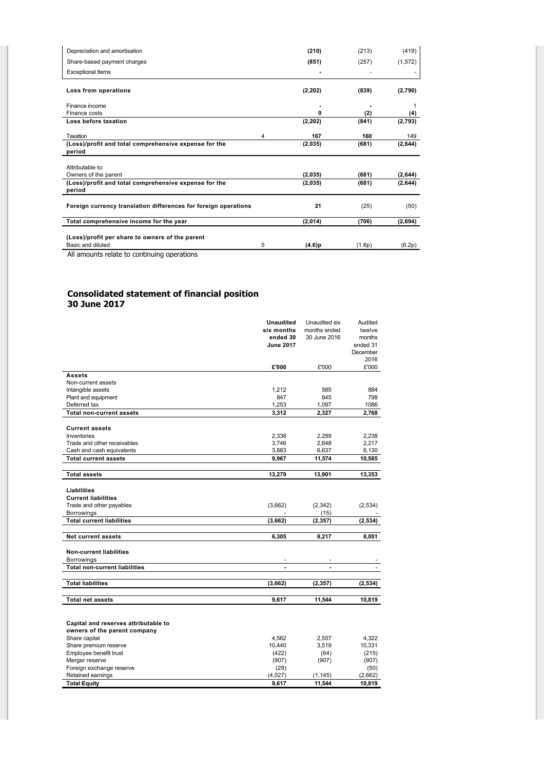| Depreciation and amortisation                                        |   | (210)    | (213)  | (419)    |
|----------------------------------------------------------------------|---|----------|--------|----------|
| Share-based payment charges                                          |   | (851)    | (257)  | (1, 572) |
| <b>Exceptional Items</b>                                             |   |          |        |          |
| Loss from operations                                                 |   | (2, 202) | (839)  | (2,790)  |
| Finance income                                                       |   |          |        |          |
| Finance costs                                                        |   | 0        | (2)    | (4)      |
| Loss before taxation                                                 |   | (2, 202) | (841)  | (2,793)  |
| Taxation                                                             | 4 | 167      | 160    | 149      |
| (Loss)/profit and total comprehensive expense for the<br>period      |   | (2,035)  | (681)  | (2,644)  |
| Attributable to:                                                     |   |          |        |          |
| Owners of the parent                                                 |   | (2,035)  | (681)  | (2,644)  |
| (Loss)/profit and total comprehensive expense for the<br>period      |   | (2,035)  | (681)  | (2,644)  |
| Foreign currency translation differences for foreign operations      |   | 21       | (25)   | (50)     |
| Total comprehensive income for the year                              |   | (2,014)  | (706)  | (2,694)  |
| (Loss)/profit per share to owners of the parent<br>Basic and diluted | 5 | (4.6)p   | (1.6p) | (6.2p)   |
| All amounts relate to continuing operations                          |   |          |        |          |

# **Consolidated statement of financial position 30 June 2017**

|                                      | <b>Unaudited</b> | Unaudited six  | Audited  |
|--------------------------------------|------------------|----------------|----------|
|                                      | six months       | months ended   | twelve   |
|                                      | ended 30         | 30 June 2016   | months   |
|                                      | <b>June 2017</b> |                | ended 31 |
|                                      |                  |                | December |
|                                      |                  |                | 2016     |
|                                      | £'000            | £'000          | £'000    |
| <b>Assets</b>                        |                  |                |          |
| Non-current assets                   |                  |                |          |
| Intangible assets                    | 1,212            | 585            | 884      |
| Plant and equipment                  | 847              | 645            | 798      |
| Deferred tax                         | 1,253            | 1,097          | 1086     |
| <b>Total non-current assets</b>      | 3,312            | 2,327          | 2,768    |
|                                      |                  |                |          |
| <b>Current assets</b>                |                  |                |          |
| Inventories                          | 2,338            | 2,289          | 2,238    |
| Trade and other receivables          | 3,746            | 2,648          | 2,217    |
| Cash and cash equivalents            | 3,883            | 6,637          | 6,130    |
| <b>Total current assets</b>          | 9,967            | 11,574         | 10,585   |
|                                      |                  |                |          |
| <b>Total assets</b>                  | 13,279           | 13,901         | 13,353   |
|                                      |                  |                |          |
| Liabilities                          |                  |                |          |
| <b>Current liabilities</b>           |                  |                |          |
| Trade and other payables             | (3,662)          | (2,342)        | (2,534)  |
| Borrowings                           |                  | (15)           |          |
| <b>Total current liabilities</b>     | (3,662)          | (2, 357)       | (2, 534) |
|                                      |                  |                |          |
| <b>Net current assets</b>            | 6,305            | 9,217          | 8,051    |
| <b>Non-current liabilities</b>       |                  |                |          |
| Borrowings                           |                  |                |          |
| <b>Total non-current liabilities</b> | $\blacksquare$   | $\blacksquare$ |          |
|                                      |                  |                |          |
| <b>Total liabilities</b>             | (3,662)          | (2, 357)       | (2, 534) |
|                                      |                  |                |          |
| <b>Total net assets</b>              | 9,617            | 11,544         | 10,819   |
|                                      |                  |                |          |
|                                      |                  |                |          |
| Capital and reserves attributable to |                  |                |          |
| owners of the parent company         |                  |                |          |
| Share capital                        | 4,562            | 2,557          | 4,322    |
| Share premium reserve                | 10,440           | 3,519          | 10,331   |
| Employee benefit trust               | (422)            | (64)           | (215)    |
| Merger reserve                       | (907)            | (907)          | (907)    |
| Foreign exchange reserve             | (29)             |                | (50)     |
| Retained earnings                    | (4,027)          | (1, 145)       | (2,662)  |
| <b>Total Equity</b>                  | 9,617            | 11,544         | 10,819   |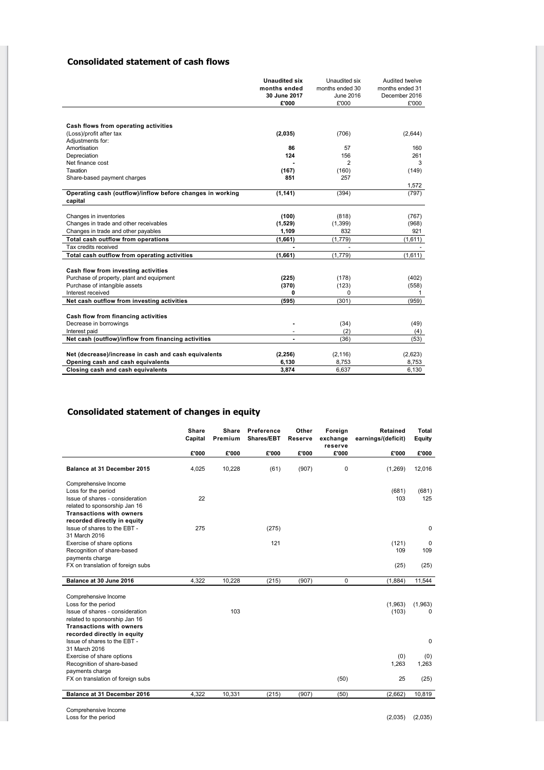# **Consolidated statement of cash flows**

|                                                           | <b>Unaudited six</b> | Unaudited six   | Audited twelve  |
|-----------------------------------------------------------|----------------------|-----------------|-----------------|
|                                                           | months ended         | months ended 30 | months ended 31 |
|                                                           | 30 June 2017         | June 2016       | December 2016   |
|                                                           | £'000                | £'000           | £'000           |
|                                                           |                      |                 |                 |
| Cash flows from operating activities                      |                      |                 |                 |
| (Loss)/profit after tax                                   | (2,035)              | (706)           | (2,644)         |
| Adjustments for:                                          |                      |                 |                 |
| Amortisation                                              | 86                   | 57              | 160             |
| Depreciation                                              | 124                  | 156             | 261             |
| Net finance cost                                          |                      | 2               | 3               |
| Taxation                                                  | (167)                | (160)           | (149)           |
| Share-based payment charges                               | 851                  | 257             |                 |
|                                                           |                      |                 | 1,572           |
| Operating cash (outflow)/inflow before changes in working | (1, 141)             | (394)           | (797)           |
| capital                                                   |                      |                 |                 |
|                                                           |                      |                 |                 |
| Changes in inventories                                    | (100)                | (818)           | (767)           |
| Changes in trade and other receivables                    | (1,529)              | (1, 399)        | (968)           |
| Changes in trade and other payables                       | 1,109                | 832             | 921             |
| Total cash outflow from operations                        | (1,661)              | (1,779)         | (1,611)         |
| Tax credits received                                      | $\overline{a}$       |                 |                 |
| Total cash outflow from operating activities              | (1,661)              | (1,779)         | (1,611)         |
| Cash flow from investing activities                       |                      |                 |                 |
| Purchase of property, plant and equipment                 | (225)                | (178)           | (402)           |
| Purchase of intangible assets                             | (370)                | (123)           | (558)           |
| Interest received                                         | 0                    | 0               | 1               |
| Net cash outflow from investing activities                | (595)                | (301)           | (959)           |
|                                                           |                      |                 |                 |
| Cash flow from financing activities                       |                      |                 |                 |
| Decrease in borrowings                                    |                      | (34)            | (49)            |
| Interest paid                                             | ٠                    | (2)             | (4)             |
| Net cash (outflow)/inflow from financing activities       | ÷,                   | (36)            | (53)            |
|                                                           |                      |                 |                 |
| Net (decrease)/increase in cash and cash equivalents      | (2, 256)             | (2, 116)        | (2,623)         |
| Opening cash and cash equivalents                         | 6,130                | 8,753           | 8,753           |
| Closing cash and cash equivalents                         | 3,874                | 6,637           | 6,130           |

# **Consolidated statement of changes in equity**

|                                                                                                                                                                                   | <b>Share</b><br>Capital | Share<br>Premium | Preference<br>Shares/EBT | Other<br><b>Reserve</b> | Foreign<br>exchange<br>reserve | Retained<br>earnings/(deficit) | <b>Total</b><br><b>Equity</b> |
|-----------------------------------------------------------------------------------------------------------------------------------------------------------------------------------|-------------------------|------------------|--------------------------|-------------------------|--------------------------------|--------------------------------|-------------------------------|
|                                                                                                                                                                                   | £'000                   | £'000            | £'000                    | £'000                   | £'000                          | £'000                          | £'000                         |
| Balance at 31 December 2015                                                                                                                                                       | 4,025                   | 10,228           | (61)                     | (907)                   | 0                              | (1,269)                        | 12,016                        |
| Comprehensive Income<br>Loss for the period<br>Issue of shares - consideration<br>related to sponsorship Jan 16<br><b>Transactions with owners</b><br>recorded directly in equity | 22                      |                  |                          |                         |                                | (681)<br>103                   | (681)<br>125                  |
| Issue of shares to the EBT -                                                                                                                                                      | 275                     |                  | (275)                    |                         |                                |                                | $\pmb{0}$                     |
| 31 March 2016<br>Exercise of share options<br>Recognition of share-based<br>payments charge                                                                                       |                         |                  | 121                      |                         |                                | (121)<br>109                   | 0<br>109                      |
| FX on translation of foreign subs                                                                                                                                                 |                         |                  |                          |                         |                                | (25)                           | (25)                          |
| Balance at 30 June 2016                                                                                                                                                           | 4,322                   | 10,228           | (215)                    | (907)                   | 0                              | (1,884)                        | 11,544                        |
| Comprehensive Income<br>Loss for the period<br>Issue of shares - consideration<br>related to sponsorship Jan 16<br><b>Transactions with owners</b>                                |                         | 103              |                          |                         |                                | (1,963)<br>(103)               | (1,963)<br>0                  |
| recorded directly in equity<br>Issue of shares to the EBT -                                                                                                                       |                         |                  |                          |                         |                                |                                | $\mathbf 0$                   |
| 31 March 2016<br>Exercise of share options<br>Recognition of share-based<br>payments charge                                                                                       |                         |                  |                          |                         |                                | (0)<br>1,263                   | (0)<br>1,263                  |
| FX on translation of foreign subs                                                                                                                                                 |                         |                  |                          |                         | (50)                           | 25                             | (25)                          |
| Balance at 31 December 2016                                                                                                                                                       | 4,322                   | 10,331           | (215)                    | (907)                   | (50)                           | (2,662)                        | 10,819                        |

Comprehensive Income Loss for the period (2,035) (2,035)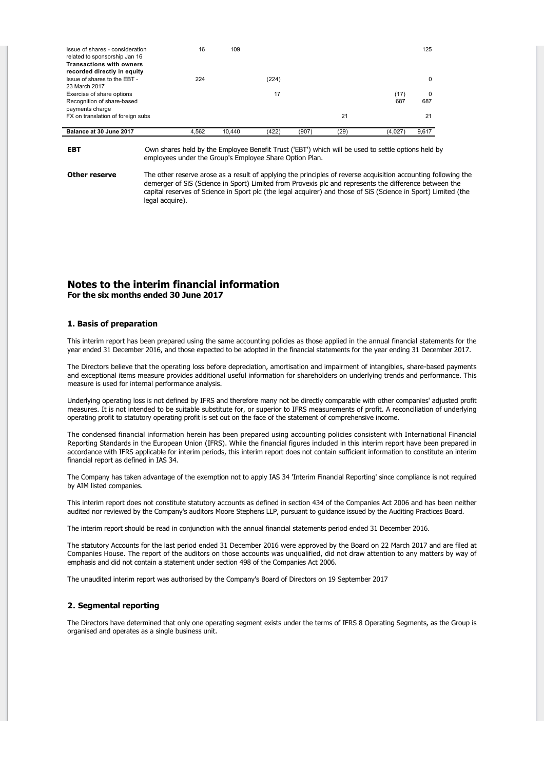| Balance at 30 June 2017                                                                         | 4.562 | 10.440 | (422) | (907) | (29) | (4.027 | 9.617 |
|-------------------------------------------------------------------------------------------------|-------|--------|-------|-------|------|--------|-------|
| FX on translation of foreign subs                                                               |       |        |       |       | 21   |        | 21    |
| Recognition of share-based<br>payments charge                                                   |       |        |       |       |      | 687    | 687   |
| 23 March 2017<br>Exercise of share options                                                      |       |        | 17    |       |      | (17)   | 0     |
| Issue of shares to the EBT -                                                                    | 224   |        | (224) |       |      |        | 0     |
| related to sponsorship Jan 16<br><b>Transactions with owners</b><br>recorded directly in equity |       |        |       |       |      |        |       |
| Issue of shares - consideration                                                                 | 16    | 109    |       |       |      |        | 125   |

**EBT** Own shares held by the Employee Benefit Trust ('EBT') which will be used to settle options held by employees under the Group's Employee Share Option Plan.

**Other reserve** The other reserve arose as a result of applying the principles of reverse acquisition accounting following the demerger of SiS (Science in Sport) Limited from Provexis plc and represents the difference between the capital reserves of Science in Sport plc (the legal acquirer) and those of SiS (Science in Sport) Limited (the legal acquire).

# **Notes to the interim financial information For the six months ended 30 June 2017**

# **1. Basis of preparation**

This interim report has been prepared using the same accounting policies as those applied in the annual financial statements for the year ended 31 December 2016, and those expected to be adopted in the financial statements for the year ending 31 December 2017.

The Directors believe that the operating loss before depreciation, amortisation and impairment of intangibles, share-based payments and exceptional items measure provides additional useful information for shareholders on underlying trends and performance. This measure is used for internal performance analysis.

Underlying operating loss is not defined by IFRS and therefore many not be directly comparable with other companies' adjusted profit measures. It is not intended to be suitable substitute for, or superior to IFRS measurements of profit. A reconciliation of underlying operating profit to statutory operating profit is set out on the face of the statement of comprehensive income.

The condensed financial information herein has been prepared using accounting policies consistent with International Financial Reporting Standards in the European Union (IFRS). While the financial figures included in this interim report have been prepared in accordance with IFRS applicable for interim periods, this interim report does not contain sufficient information to constitute an interim financial report as defined in IAS 34.

The Company has taken advantage of the exemption not to apply IAS 34 'Interim Financial Reporting' since compliance is not required by AIM listed companies.

This interim report does not constitute statutory accounts as defined in section 434 of the Companies Act 2006 and has been neither audited nor reviewed by the Company's auditors Moore Stephens LLP, pursuant to guidance issued by the Auditing Practices Board.

The interim report should be read in conjunction with the annual financial statements period ended 31 December 2016.

The statutory Accounts for the last period ended 31 December 2016 were approved by the Board on 22 March 2017 and are filed at Companies House. The report of the auditors on those accounts was unqualified, did not draw attention to any matters by way of emphasis and did not contain a statement under section 498 of the Companies Act 2006.

The unaudited interim report was authorised by the Company's Board of Directors on 19 September 2017

# **2. Segmental reporting**

The Directors have determined that only one operating segment exists under the terms of IFRS 8 Operating Segments, as the Group is organised and operates as a single business unit.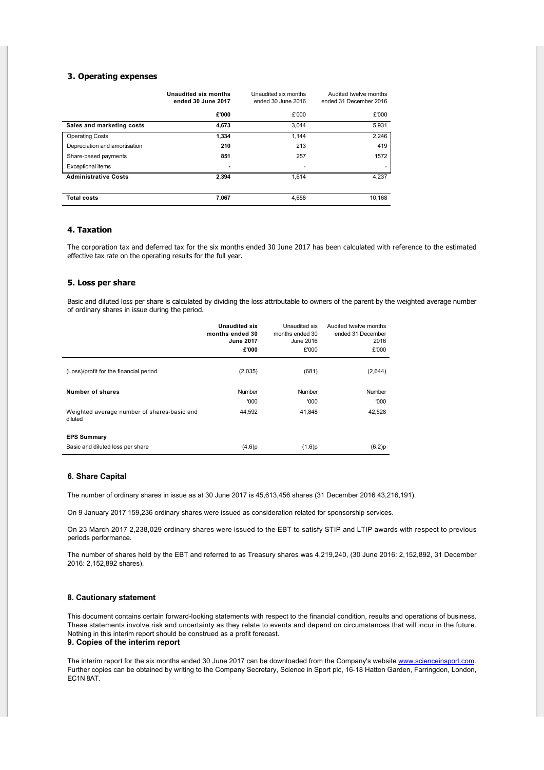# **3. Operating expenses**

|                               | <b>Unaudited six months</b><br>ended 30 June 2017 | Unaudited six months<br>ended 30 June 2016 | Audited twelve months<br>ended 31 December 2016 |
|-------------------------------|---------------------------------------------------|--------------------------------------------|-------------------------------------------------|
|                               | £'000                                             | £'000                                      | £'000                                           |
| Sales and marketing costs     | 4,673                                             | 3.044                                      | 5.931                                           |
| <b>Operating Costs</b>        | 1.334                                             | 1.144                                      | 2,246                                           |
| Depreciation and amortisation | 210                                               | 213                                        | 419                                             |
| Share-based payments          | 851                                               | 257                                        | 1572                                            |
| <b>Exceptional items</b>      | ۰                                                 |                                            |                                                 |
| <b>Administrative Costs</b>   | 2.394                                             | 1.614                                      | 4,237                                           |
|                               |                                                   |                                            |                                                 |
| <b>Total costs</b>            | 7,067                                             | 4.658                                      | 10.168                                          |

# **4. Taxation**

The corporation tax and deferred tax for the six months ended 30 June 2017 has been calculated with reference to the estimated effective tax rate on the operating results for the full year.

# **5. Loss per share**

Basic and diluted loss per share is calculated by dividing the loss attributable to owners of the parent by the weighted average number of ordinary shares in issue during the period.

|                                                        | <b>Unaudited six</b><br>months ended 30<br><b>June 2017</b><br>£'000 | Unaudited six<br>months ended 30<br>June 2016<br>£'000 | Audited twelve months<br>ended 31 December<br>2016<br>£'000 |
|--------------------------------------------------------|----------------------------------------------------------------------|--------------------------------------------------------|-------------------------------------------------------------|
| (Loss)/profit for the financial period                 | (2,035)                                                              | (681)                                                  | (2,644)                                                     |
| Number of shares                                       | Number<br>'000                                                       | Number<br>'000                                         | Number<br>'000                                              |
| Weighted average number of shares-basic and<br>diluted | 44.592                                                               | 41.848                                                 | 42,528                                                      |
| <b>EPS Summary</b>                                     |                                                                      |                                                        |                                                             |
| Basic and diluted loss per share                       | (4.6)p                                                               | (1.6)p                                                 | (6.2)p                                                      |

## **6. Share Capital**

The number of ordinary shares in issue as at 30 June 2017 is 45,613,456 shares (31 December 2016 43,216,191).

On 9 January 2017 159,236 ordinary shares were issued as consideration related for sponsorship services.

On 23 March 2017 2,238,029 ordinary shares were issued to the EBT to satisfy STIP and LTIP awards with respect to previous periods performance.

The number of shares held by the EBT and referred to as Treasury shares was 4,219,240, (30 June 2016: 2,152,892, 31 December 2016: 2,152,892 shares).

## **8. Cautionary statement**

This document contains certain forward-looking statements with respect to the financial condition, results and operations of business. These statements involve risk and uncertainty as they relate to events and depend on circumstances that will incur in the future. Nothing in this interim report should be construed as a profit forecast. **9. Copies of the interim report**

The interim report for the six months ended 30 June 2017 can be downloaded from the Company's website [www.scienceinsport.com.](http://www.scienceinsport.com) Further copies can be obtained by writing to the Company Secretary, Science in Sport plc, 16-18 Hatton Garden, Farringdon, London, EC1N 8AT.